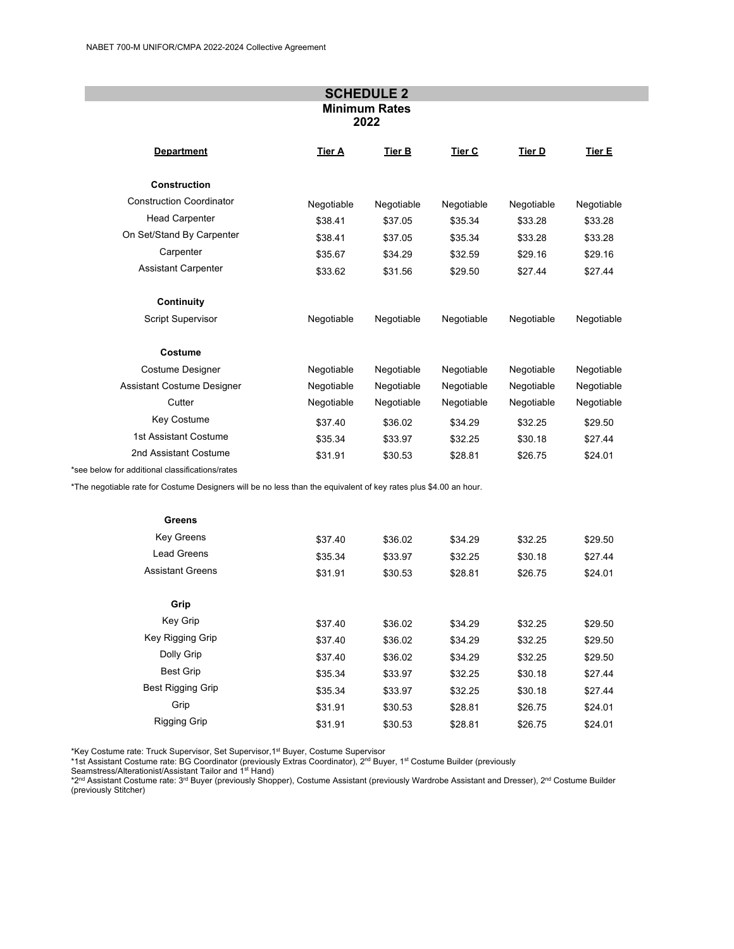|                                                 |               | <b>SCHEDULE 2</b> |               |            |            |
|-------------------------------------------------|---------------|-------------------|---------------|------------|------------|
| <b>Minimum Rates</b><br>2022                    |               |                   |               |            |            |
| <b>Department</b>                               | <b>Tier A</b> | Tier B            | <b>Tier C</b> | Tier D     | Tier E     |
| <b>Construction</b>                             |               |                   |               |            |            |
| <b>Construction Coordinator</b>                 | Negotiable    | Negotiable        | Negotiable    | Negotiable | Negotiable |
| <b>Head Carpenter</b>                           | \$38.41       | \$37.05           | \$35.34       | \$33.28    | \$33.28    |
| On Set/Stand By Carpenter                       | \$38.41       | \$37.05           | \$35.34       | \$33.28    | \$33.28    |
| Carpenter                                       | \$35.67       | \$34.29           | \$32.59       | \$29.16    | \$29.16    |
| <b>Assistant Carpenter</b>                      | \$33.62       | \$31.56           | \$29.50       | \$27.44    | \$27.44    |
| Continuity                                      |               |                   |               |            |            |
| Script Supervisor                               | Negotiable    | Negotiable        | Negotiable    | Negotiable | Negotiable |
| Costume                                         |               |                   |               |            |            |
| Costume Designer                                | Negotiable    | Negotiable        | Negotiable    | Negotiable | Negotiable |
| <b>Assistant Costume Designer</b>               | Negotiable    | Negotiable        | Negotiable    | Negotiable | Negotiable |
| Cutter                                          | Negotiable    | Negotiable        | Negotiable    | Negotiable | Negotiable |
| Key Costume                                     | \$37.40       | \$36.02           | \$34.29       | \$32.25    | \$29.50    |
| 1st Assistant Costume                           | \$35.34       | \$33.97           | \$32.25       | \$30.18    | \$27.44    |
| 2nd Assistant Costume                           | \$31.91       | \$30.53           | \$28.81       | \$26.75    | \$24.01    |
| *see below for additional classifications/rates |               |                   |               |            |            |

\*The negotiable rate for Costume Designers will be no less than the equivalent of key rates plus \$4.00 an hour.

| Greens                   |         |         |         |         |         |
|--------------------------|---------|---------|---------|---------|---------|
| <b>Key Greens</b>        | \$37.40 | \$36.02 | \$34.29 | \$32.25 | \$29.50 |
| Lead Greens              | \$35.34 | \$33.97 | \$32.25 | \$30.18 | \$27.44 |
| <b>Assistant Greens</b>  | \$31.91 | \$30.53 | \$28.81 | \$26.75 | \$24.01 |
| Grip                     |         |         |         |         |         |
| Key Grip                 | \$37.40 | \$36.02 | \$34.29 | \$32.25 | \$29.50 |
| Key Rigging Grip         | \$37.40 | \$36.02 | \$34.29 | \$32.25 | \$29.50 |
| Dolly Grip               | \$37.40 | \$36.02 | \$34.29 | \$32.25 | \$29.50 |
| <b>Best Grip</b>         | \$35.34 | \$33.97 | \$32.25 | \$30.18 | \$27.44 |
| <b>Best Rigging Grip</b> | \$35.34 | \$33.97 | \$32.25 | \$30.18 | \$27.44 |
| Grip                     | \$31.91 | \$30.53 | \$28.81 | \$26.75 | \$24.01 |
| <b>Rigging Grip</b>      | \$31.91 | \$30.53 | \$28.81 | \$26.75 | \$24.01 |

\*Key Costume rate: Truck Supervisor, Set Supervisor,1st Buyer, Costume Supervisor

\*1st Assistant Costume rate: BG Coordinator (previously Extras Coordinator), 2<u>nd Buyer, 1st Costume Builder (</u>previously<br>Seamstress/Alterationist/Assistant Tailor and 1st Hand)

\*2<sup>nd</sup> Assistant Costume rate: 3<sup>rd</sup> Buyer (previously Shopper), Costume Assistant (previously Wardrobe Assistant and Dresser), 2<sup>nd</sup> Costume Builder (previously Stitcher)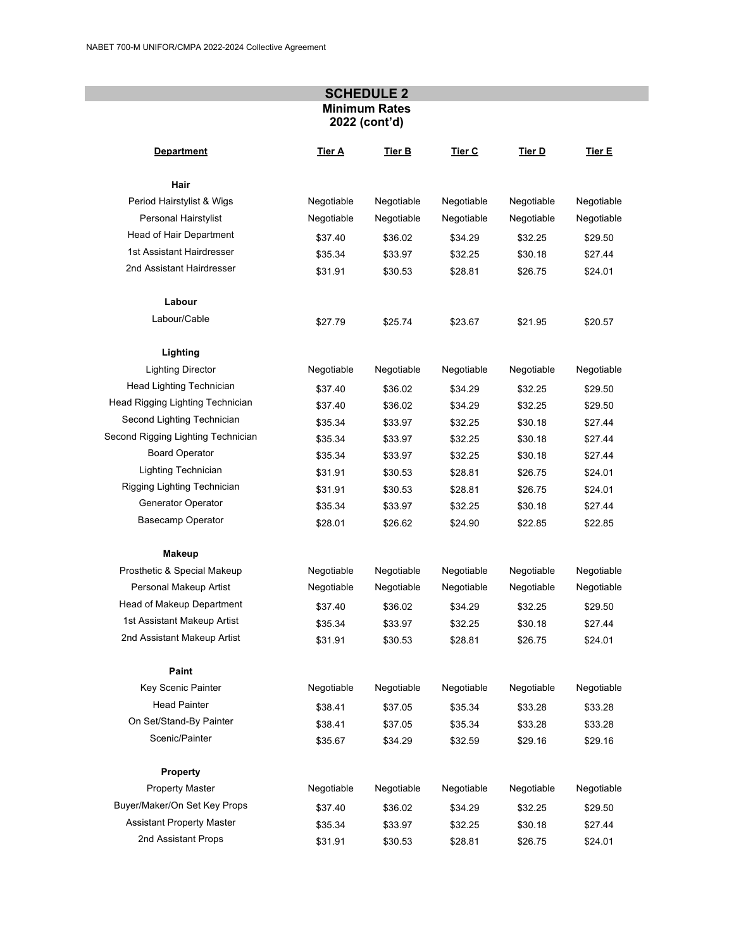## **SCHEDULE 2 Minimum Rates 2022 (cont'd)**

| <b>Department</b>                  | Tier A     | Tier B     | Tier C     | Tier D     | Tier E     |
|------------------------------------|------------|------------|------------|------------|------------|
| Hair                               |            |            |            |            |            |
| Period Hairstylist & Wigs          | Negotiable | Negotiable | Negotiable | Negotiable | Negotiable |
| Personal Hairstylist               | Negotiable | Negotiable | Negotiable | Negotiable | Negotiable |
| Head of Hair Department            | \$37.40    | \$36.02    | \$34.29    | \$32.25    | \$29.50    |
| 1st Assistant Hairdresser          | \$35.34    | \$33.97    | \$32.25    | \$30.18    | \$27.44    |
| 2nd Assistant Hairdresser          | \$31.91    | \$30.53    | \$28.81    | \$26.75    | \$24.01    |
| Labour                             |            |            |            |            |            |
| Labour/Cable                       | \$27.79    | \$25.74    | \$23.67    | \$21.95    | \$20.57    |
| Lighting                           |            |            |            |            |            |
| <b>Lighting Director</b>           | Negotiable | Negotiable | Negotiable | Negotiable | Negotiable |
| Head Lighting Technician           | \$37.40    | \$36.02    | \$34.29    | \$32.25    | \$29.50    |
| Head Rigging Lighting Technician   | \$37.40    | \$36.02    | \$34.29    | \$32.25    | \$29.50    |
| Second Lighting Technician         | \$35.34    | \$33.97    | \$32.25    | \$30.18    | \$27.44    |
| Second Rigging Lighting Technician | \$35.34    | \$33.97    | \$32.25    | \$30.18    | \$27.44    |
| <b>Board Operator</b>              | \$35.34    | \$33.97    | \$32.25    | \$30.18    | \$27.44    |
| Lighting Technician                | \$31.91    | \$30.53    | \$28.81    | \$26.75    | \$24.01    |
| Rigging Lighting Technician        | \$31.91    | \$30.53    | \$28.81    | \$26.75    | \$24.01    |
| Generator Operator                 | \$35.34    | \$33.97    | \$32.25    | \$30.18    | \$27.44    |
| <b>Basecamp Operator</b>           | \$28.01    | \$26.62    | \$24.90    | \$22.85    | \$22.85    |
| <b>Makeup</b>                      |            |            |            |            |            |
| Prosthetic & Special Makeup        | Negotiable | Negotiable | Negotiable | Negotiable | Negotiable |
| Personal Makeup Artist             | Negotiable | Negotiable | Negotiable | Negotiable | Negotiable |
| Head of Makeup Department          | \$37.40    | \$36.02    | \$34.29    | \$32.25    | \$29.50    |
| 1st Assistant Makeup Artist        | \$35.34    | \$33.97    | \$32.25    | \$30.18    | \$27.44    |
| 2nd Assistant Makeup Artist        | \$31.91    | \$30.53    | \$28.81    | \$26.75    | \$24.01    |
| Paint                              |            |            |            |            |            |
| Key Scenic Painter                 | Negotiable | Negotiable | Negotiable | Negotiable | Negotiable |
| <b>Head Painter</b>                | \$38.41    | \$37.05    | \$35.34    | \$33.28    | \$33.28    |
| On Set/Stand-By Painter            | \$38.41    | \$37.05    | \$35.34    | \$33.28    | \$33.28    |
| Scenic/Painter                     | \$35.67    | \$34.29    | \$32.59    | \$29.16    | \$29.16    |
| <b>Property</b>                    |            |            |            |            |            |
| <b>Property Master</b>             | Negotiable | Negotiable | Negotiable | Negotiable | Negotiable |
| Buyer/Maker/On Set Key Props       | \$37.40    | \$36.02    | \$34.29    | \$32.25    | \$29.50    |
| <b>Assistant Property Master</b>   | \$35.34    | \$33.97    | \$32.25    | \$30.18    | \$27.44    |
| 2nd Assistant Props                | \$31.91    | \$30.53    | \$28.81    | \$26.75    | \$24.01    |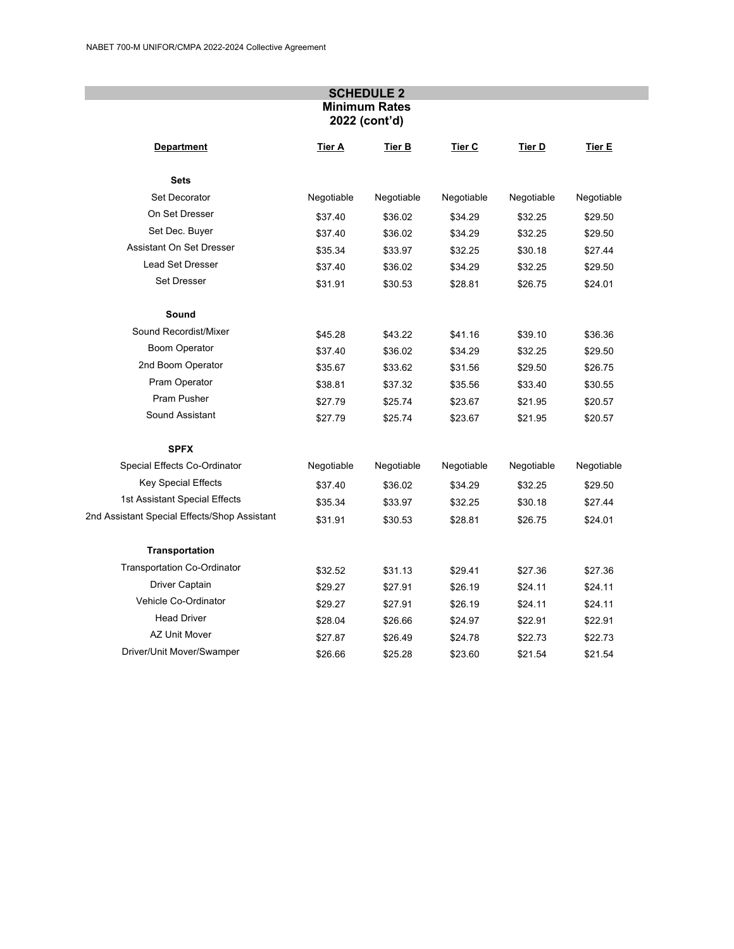## **SCHEDULE 2 Minimum Rates 2022 (cont'd)**

| <b>Department</b>                            | Tier A     | Tier B     | Tier C     | Tier D     | Tier E     |
|----------------------------------------------|------------|------------|------------|------------|------------|
| <b>Sets</b>                                  |            |            |            |            |            |
| Set Decorator                                | Negotiable | Negotiable | Negotiable | Negotiable | Negotiable |
| On Set Dresser                               | \$37.40    | \$36.02    | \$34.29    | \$32.25    | \$29.50    |
| Set Dec. Buyer                               | \$37.40    | \$36.02    | \$34.29    | \$32.25    | \$29.50    |
| Assistant On Set Dresser                     | \$35.34    | \$33.97    | \$32.25    | \$30.18    | \$27.44    |
| <b>Lead Set Dresser</b>                      | \$37.40    | \$36.02    | \$34.29    | \$32.25    | \$29.50    |
| Set Dresser                                  | \$31.91    | \$30.53    | \$28.81    | \$26.75    | \$24.01    |
| Sound                                        |            |            |            |            |            |
| Sound Recordist/Mixer                        | \$45.28    | \$43.22    | \$41.16    | \$39.10    | \$36.36    |
| <b>Boom Operator</b>                         | \$37.40    | \$36.02    | \$34.29    | \$32.25    | \$29.50    |
| 2nd Boom Operator                            | \$35.67    | \$33.62    | \$31.56    | \$29.50    | \$26.75    |
| Pram Operator                                | \$38.81    | \$37.32    | \$35.56    | \$33.40    | \$30.55    |
| Pram Pusher                                  | \$27.79    | \$25.74    | \$23.67    | \$21.95    | \$20.57    |
| Sound Assistant                              | \$27.79    | \$25.74    | \$23.67    | \$21.95    | \$20.57    |
| <b>SPFX</b>                                  |            |            |            |            |            |
| Special Effects Co-Ordinator                 | Negotiable | Negotiable | Negotiable | Negotiable | Negotiable |
| <b>Key Special Effects</b>                   | \$37.40    | \$36.02    | \$34.29    | \$32.25    | \$29.50    |
| 1st Assistant Special Effects                | \$35.34    | \$33.97    | \$32.25    | \$30.18    | \$27.44    |
| 2nd Assistant Special Effects/Shop Assistant | \$31.91    | \$30.53    | \$28.81    | \$26.75    | \$24.01    |
| <b>Transportation</b>                        |            |            |            |            |            |
| <b>Transportation Co-Ordinator</b>           | \$32.52    | \$31.13    | \$29.41    | \$27.36    | \$27.36    |
| Driver Captain                               | \$29.27    | \$27.91    | \$26.19    | \$24.11    | \$24.11    |
| Vehicle Co-Ordinator                         | \$29.27    | \$27.91    | \$26.19    | \$24.11    | \$24.11    |
| <b>Head Driver</b>                           | \$28.04    | \$26.66    | \$24.97    | \$22.91    | \$22.91    |
| <b>AZ Unit Mover</b>                         | \$27.87    | \$26.49    | \$24.78    | \$22.73    | \$22.73    |
| Driver/Unit Mover/Swamper                    | \$26.66    | \$25.28    | \$23.60    | \$21.54    | \$21.54    |